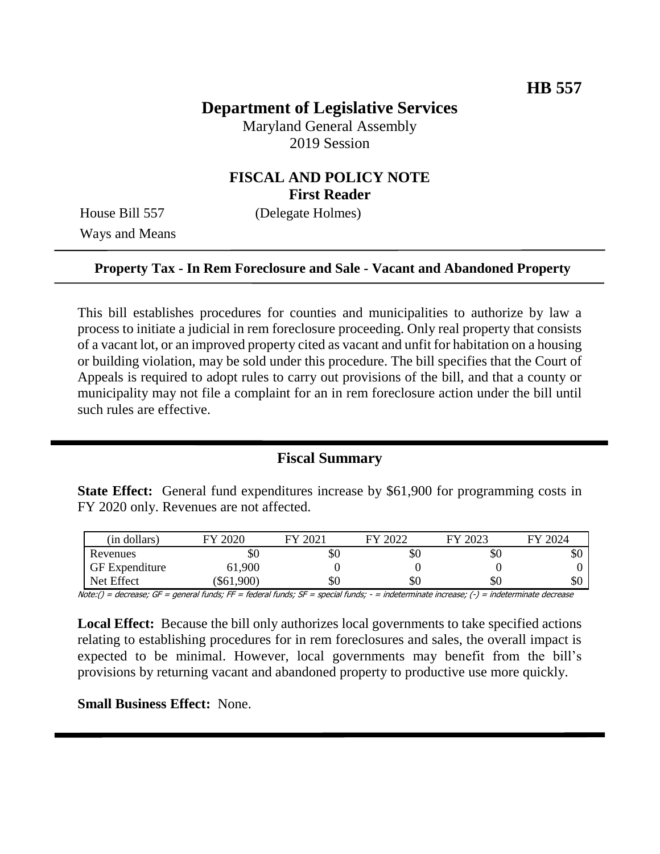# **Department of Legislative Services**

Maryland General Assembly 2019 Session

## **FISCAL AND POLICY NOTE First Reader**

Ways and Means

House Bill 557 (Delegate Holmes)

#### **Property Tax - In Rem Foreclosure and Sale - Vacant and Abandoned Property**

This bill establishes procedures for counties and municipalities to authorize by law a process to initiate a judicial in rem foreclosure proceeding. Only real property that consists of a vacant lot, or an improved property cited as vacant and unfit for habitation on a housing or building violation, may be sold under this procedure. The bill specifies that the Court of Appeals is required to adopt rules to carry out provisions of the bill, and that a county or municipality may not file a complaint for an in rem foreclosure action under the bill until such rules are effective.

### **Fiscal Summary**

**State Effect:** General fund expenditures increase by \$61,900 for programming costs in FY 2020 only. Revenues are not affected.

| (in dollars)          | 2020     | 2021 | 2022<br>FV | 2023<br>${\bf \Gamma}{\bf V}$ | 2024<br>FЛ |
|-----------------------|----------|------|------------|-------------------------------|------------|
| Revenues              | ЭU       | \$0  | \$0        | \$0                           | ΦU         |
| <b>GF</b> Expenditure | 61,900   |      |            |                               |            |
| Net Effect            | \$61,900 | \$0  | \$0        | \$0                           | υU         |

Note:() = decrease; GF = general funds; FF = federal funds; SF = special funds; - = indeterminate increase; (-) = indeterminate decrease

**Local Effect:** Because the bill only authorizes local governments to take specified actions relating to establishing procedures for in rem foreclosures and sales, the overall impact is expected to be minimal. However, local governments may benefit from the bill's provisions by returning vacant and abandoned property to productive use more quickly.

**Small Business Effect:** None.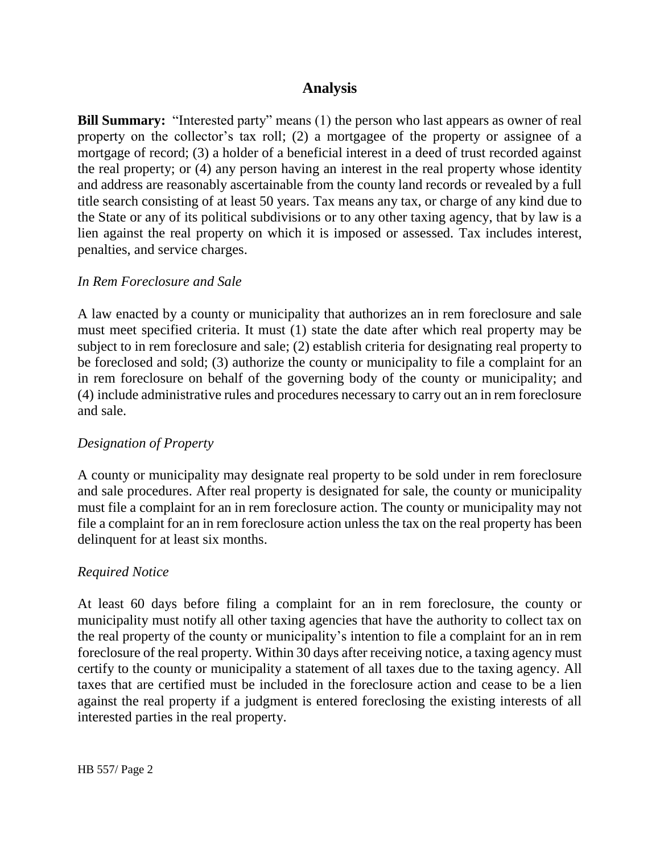## **Analysis**

**Bill Summary:** "Interested party" means (1) the person who last appears as owner of real property on the collector's tax roll; (2) a mortgagee of the property or assignee of a mortgage of record; (3) a holder of a beneficial interest in a deed of trust recorded against the real property; or (4) any person having an interest in the real property whose identity and address are reasonably ascertainable from the county land records or revealed by a full title search consisting of at least 50 years. Tax means any tax, or charge of any kind due to the State or any of its political subdivisions or to any other taxing agency, that by law is a lien against the real property on which it is imposed or assessed. Tax includes interest, penalties, and service charges.

#### *In Rem Foreclosure and Sale*

A law enacted by a county or municipality that authorizes an in rem foreclosure and sale must meet specified criteria. It must (1) state the date after which real property may be subject to in rem foreclosure and sale; (2) establish criteria for designating real property to be foreclosed and sold; (3) authorize the county or municipality to file a complaint for an in rem foreclosure on behalf of the governing body of the county or municipality; and (4) include administrative rules and procedures necessary to carry out an in rem foreclosure and sale.

### *Designation of Property*

A county or municipality may designate real property to be sold under in rem foreclosure and sale procedures. After real property is designated for sale, the county or municipality must file a complaint for an in rem foreclosure action. The county or municipality may not file a complaint for an in rem foreclosure action unless the tax on the real property has been delinquent for at least six months.

#### *Required Notice*

At least 60 days before filing a complaint for an in rem foreclosure, the county or municipality must notify all other taxing agencies that have the authority to collect tax on the real property of the county or municipality's intention to file a complaint for an in rem foreclosure of the real property. Within 30 days after receiving notice, a taxing agency must certify to the county or municipality a statement of all taxes due to the taxing agency. All taxes that are certified must be included in the foreclosure action and cease to be a lien against the real property if a judgment is entered foreclosing the existing interests of all interested parties in the real property.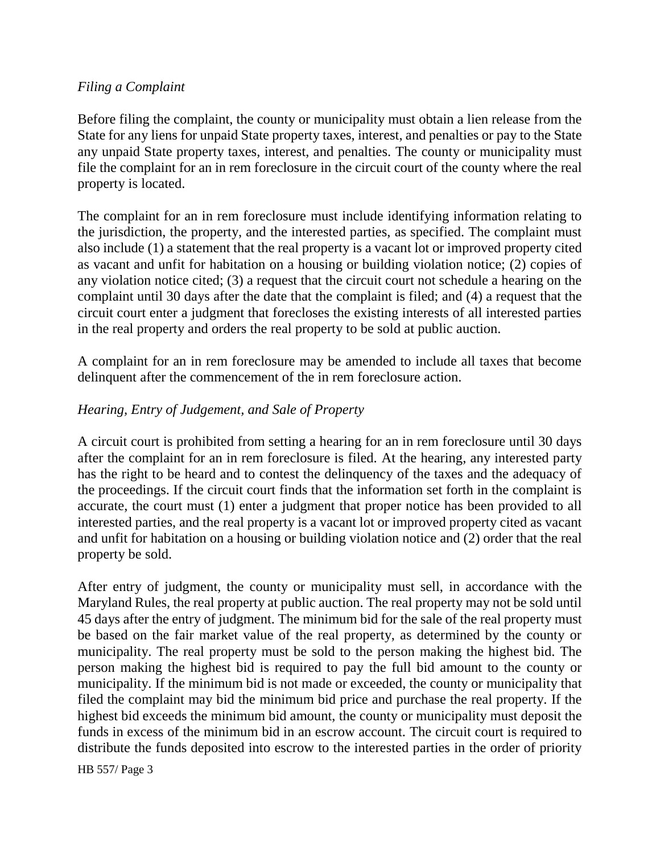### *Filing a Complaint*

Before filing the complaint, the county or municipality must obtain a lien release from the State for any liens for unpaid State property taxes, interest, and penalties or pay to the State any unpaid State property taxes, interest, and penalties. The county or municipality must file the complaint for an in rem foreclosure in the circuit court of the county where the real property is located.

The complaint for an in rem foreclosure must include identifying information relating to the jurisdiction, the property, and the interested parties, as specified. The complaint must also include (1) a statement that the real property is a vacant lot or improved property cited as vacant and unfit for habitation on a housing or building violation notice; (2) copies of any violation notice cited; (3) a request that the circuit court not schedule a hearing on the complaint until 30 days after the date that the complaint is filed; and (4) a request that the circuit court enter a judgment that forecloses the existing interests of all interested parties in the real property and orders the real property to be sold at public auction.

A complaint for an in rem foreclosure may be amended to include all taxes that become delinquent after the commencement of the in rem foreclosure action.

### *Hearing, Entry of Judgement, and Sale of Property*

A circuit court is prohibited from setting a hearing for an in rem foreclosure until 30 days after the complaint for an in rem foreclosure is filed. At the hearing, any interested party has the right to be heard and to contest the delinquency of the taxes and the adequacy of the proceedings. If the circuit court finds that the information set forth in the complaint is accurate, the court must (1) enter a judgment that proper notice has been provided to all interested parties, and the real property is a vacant lot or improved property cited as vacant and unfit for habitation on a housing or building violation notice and (2) order that the real property be sold.

After entry of judgment, the county or municipality must sell, in accordance with the Maryland Rules, the real property at public auction. The real property may not be sold until 45 days after the entry of judgment. The minimum bid for the sale of the real property must be based on the fair market value of the real property, as determined by the county or municipality. The real property must be sold to the person making the highest bid. The person making the highest bid is required to pay the full bid amount to the county or municipality. If the minimum bid is not made or exceeded, the county or municipality that filed the complaint may bid the minimum bid price and purchase the real property. If the highest bid exceeds the minimum bid amount, the county or municipality must deposit the funds in excess of the minimum bid in an escrow account. The circuit court is required to distribute the funds deposited into escrow to the interested parties in the order of priority

HB 557/ Page 3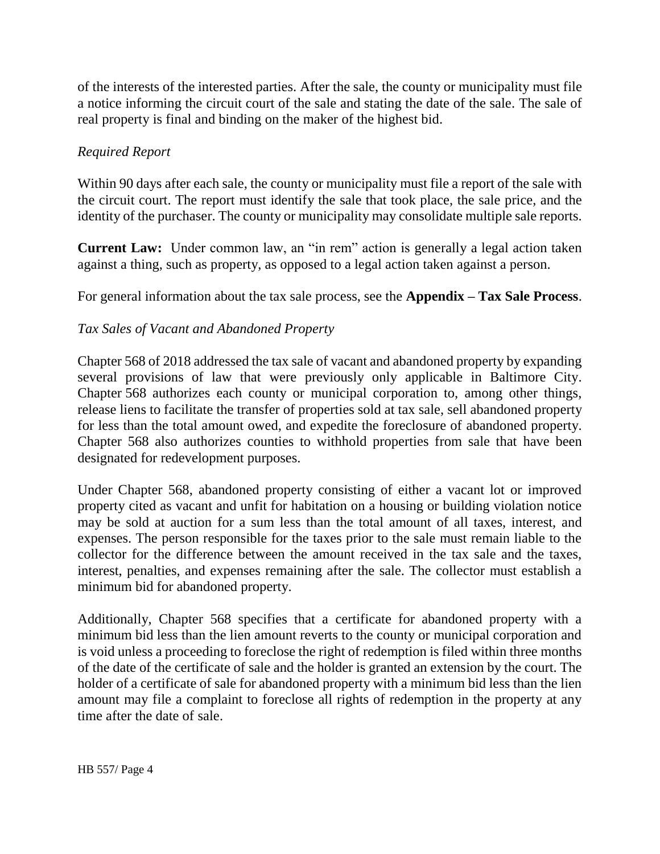of the interests of the interested parties. After the sale, the county or municipality must file a notice informing the circuit court of the sale and stating the date of the sale. The sale of real property is final and binding on the maker of the highest bid.

## *Required Report*

Within 90 days after each sale, the county or municipality must file a report of the sale with the circuit court. The report must identify the sale that took place, the sale price, and the identity of the purchaser. The county or municipality may consolidate multiple sale reports.

**Current Law:** Under common law, an "in rem" action is generally a legal action taken against a thing, such as property, as opposed to a legal action taken against a person.

For general information about the tax sale process, see the **Appendix – Tax Sale Process**.

## *Tax Sales of Vacant and Abandoned Property*

Chapter 568 of 2018 addressed the tax sale of vacant and abandoned property by expanding several provisions of law that were previously only applicable in Baltimore City. Chapter 568 authorizes each county or municipal corporation to, among other things, release liens to facilitate the transfer of properties sold at tax sale, sell abandoned property for less than the total amount owed, and expedite the foreclosure of abandoned property. Chapter 568 also authorizes counties to withhold properties from sale that have been designated for redevelopment purposes.

Under Chapter 568, abandoned property consisting of either a vacant lot or improved property cited as vacant and unfit for habitation on a housing or building violation notice may be sold at auction for a sum less than the total amount of all taxes, interest, and expenses. The person responsible for the taxes prior to the sale must remain liable to the collector for the difference between the amount received in the tax sale and the taxes, interest, penalties, and expenses remaining after the sale. The collector must establish a minimum bid for abandoned property.

Additionally, Chapter 568 specifies that a certificate for abandoned property with a minimum bid less than the lien amount reverts to the county or municipal corporation and is void unless a proceeding to foreclose the right of redemption is filed within three months of the date of the certificate of sale and the holder is granted an extension by the court. The holder of a certificate of sale for abandoned property with a minimum bid less than the lien amount may file a complaint to foreclose all rights of redemption in the property at any time after the date of sale.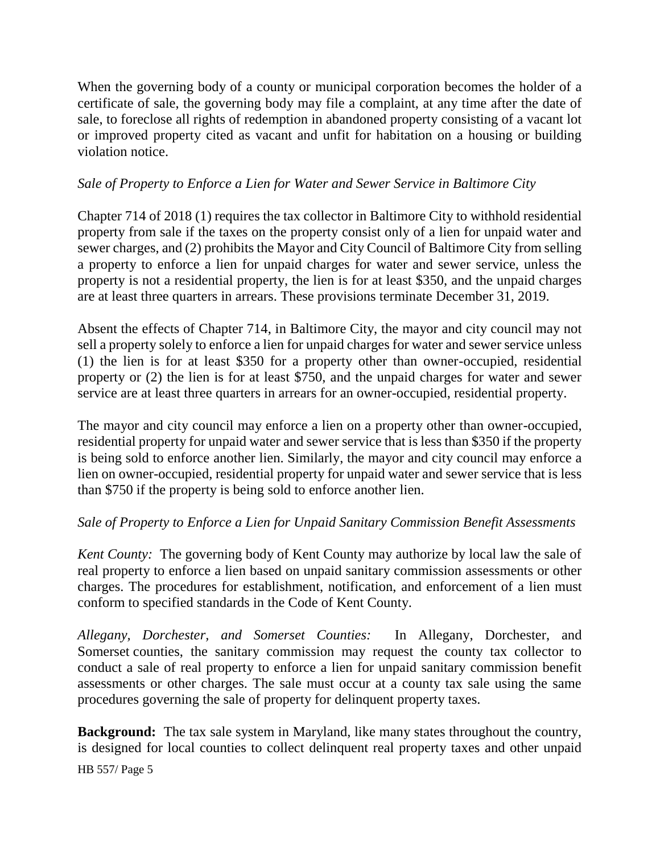When the governing body of a county or municipal corporation becomes the holder of a certificate of sale, the governing body may file a complaint, at any time after the date of sale, to foreclose all rights of redemption in abandoned property consisting of a vacant lot or improved property cited as vacant and unfit for habitation on a housing or building violation notice.

## *Sale of Property to Enforce a Lien for Water and Sewer Service in Baltimore City*

Chapter 714 of 2018 (1) requires the tax collector in Baltimore City to withhold residential property from sale if the taxes on the property consist only of a lien for unpaid water and sewer charges, and (2) prohibits the Mayor and City Council of Baltimore City from selling a property to enforce a lien for unpaid charges for water and sewer service, unless the property is not a residential property, the lien is for at least \$350, and the unpaid charges are at least three quarters in arrears. These provisions terminate December 31, 2019.

Absent the effects of Chapter 714, in Baltimore City, the mayor and city council may not sell a property solely to enforce a lien for unpaid charges for water and sewer service unless (1) the lien is for at least \$350 for a property other than owner-occupied, residential property or (2) the lien is for at least \$750, and the unpaid charges for water and sewer service are at least three quarters in arrears for an owner-occupied, residential property.

The mayor and city council may enforce a lien on a property other than owner-occupied, residential property for unpaid water and sewer service that is less than \$350 if the property is being sold to enforce another lien. Similarly, the mayor and city council may enforce a lien on owner-occupied, residential property for unpaid water and sewer service that is less than \$750 if the property is being sold to enforce another lien.

### *Sale of Property to Enforce a Lien for Unpaid Sanitary Commission Benefit Assessments*

*Kent County:* The governing body of Kent County may authorize by local law the sale of real property to enforce a lien based on unpaid sanitary commission assessments or other charges. The procedures for establishment, notification, and enforcement of a lien must conform to specified standards in the Code of Kent County.

*Allegany, Dorchester, and Somerset Counties:* In Allegany, Dorchester, and Somerset counties, the sanitary commission may request the county tax collector to conduct a sale of real property to enforce a lien for unpaid sanitary commission benefit assessments or other charges. The sale must occur at a county tax sale using the same procedures governing the sale of property for delinquent property taxes.

**Background:** The tax sale system in Maryland, like many states throughout the country, is designed for local counties to collect delinquent real property taxes and other unpaid

HB 557/ Page 5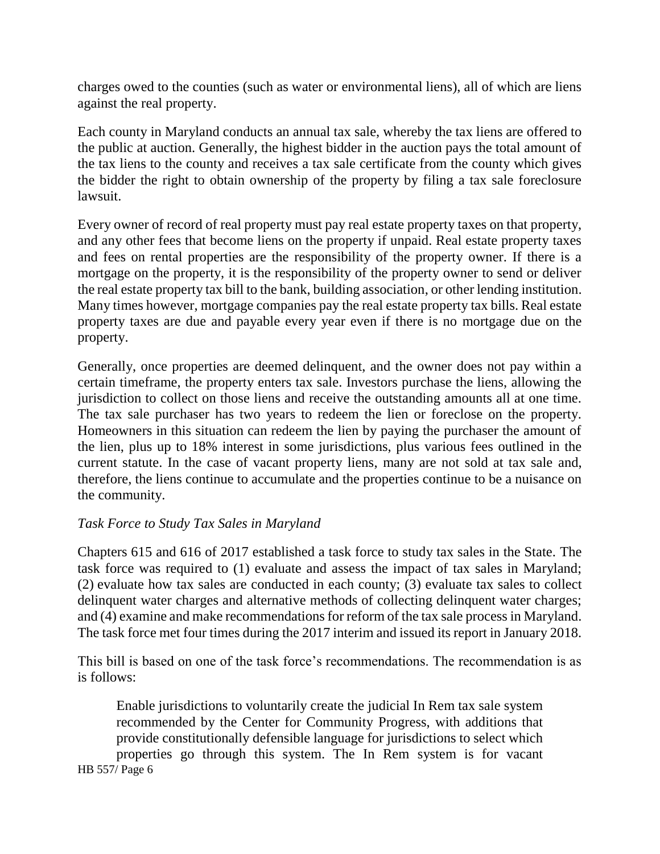charges owed to the counties (such as water or environmental liens), all of which are liens against the real property.

Each county in Maryland conducts an annual tax sale, whereby the tax liens are offered to the public at auction. Generally, the highest bidder in the auction pays the total amount of the tax liens to the county and receives a tax sale certificate from the county which gives the bidder the right to obtain ownership of the property by filing a tax sale foreclosure lawsuit.

Every owner of record of real property must pay real estate property taxes on that property, and any other fees that become liens on the property if unpaid. Real estate property taxes and fees on rental properties are the responsibility of the property owner. If there is a mortgage on the property, it is the responsibility of the property owner to send or deliver the real estate property tax bill to the bank, building association, or other lending institution. Many times however, mortgage companies pay the real estate property tax bills. Real estate property taxes are due and payable every year even if there is no mortgage due on the property.

Generally, once properties are deemed delinquent, and the owner does not pay within a certain timeframe, the property enters tax sale. Investors purchase the liens, allowing the jurisdiction to collect on those liens and receive the outstanding amounts all at one time. The tax sale purchaser has two years to redeem the lien or foreclose on the property. Homeowners in this situation can redeem the lien by paying the purchaser the amount of the lien, plus up to 18% interest in some jurisdictions, plus various fees outlined in the current statute. In the case of vacant property liens, many are not sold at tax sale and, therefore, the liens continue to accumulate and the properties continue to be a nuisance on the community.

#### *Task Force to Study Tax Sales in Maryland*

Chapters 615 and 616 of 2017 established a task force to study tax sales in the State. The task force was required to (1) evaluate and assess the impact of tax sales in Maryland; (2) evaluate how tax sales are conducted in each county; (3) evaluate tax sales to collect delinquent water charges and alternative methods of collecting delinquent water charges; and (4) examine and make recommendations for reform of the tax sale process in Maryland. The task force met four times during the 2017 interim and issued its report in January 2018.

This bill is based on one of the task force's recommendations. The recommendation is as is follows:

Enable jurisdictions to voluntarily create the judicial In Rem tax sale system recommended by the Center for Community Progress, with additions that provide constitutionally defensible language for jurisdictions to select which properties go through this system. The In Rem system is for vacant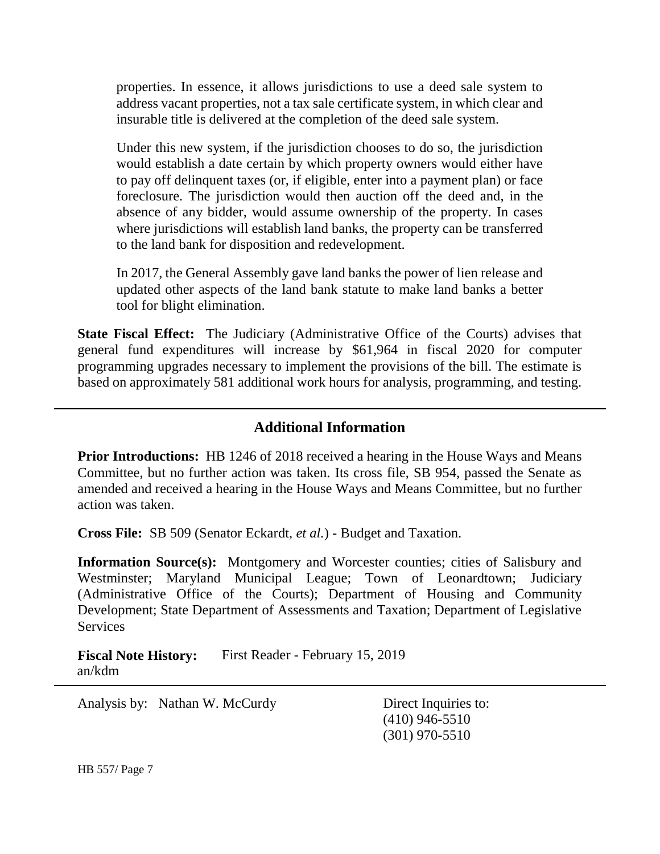properties. In essence, it allows jurisdictions to use a deed sale system to address vacant properties, not a tax sale certificate system, in which clear and insurable title is delivered at the completion of the deed sale system.

Under this new system, if the jurisdiction chooses to do so, the jurisdiction would establish a date certain by which property owners would either have to pay off delinquent taxes (or, if eligible, enter into a payment plan) or face foreclosure. The jurisdiction would then auction off the deed and, in the absence of any bidder, would assume ownership of the property. In cases where jurisdictions will establish land banks, the property can be transferred to the land bank for disposition and redevelopment.

In 2017, the General Assembly gave land banks the power of lien release and updated other aspects of the land bank statute to make land banks a better tool for blight elimination.

**State Fiscal Effect:** The Judiciary (Administrative Office of the Courts) advises that general fund expenditures will increase by \$61,964 in fiscal 2020 for computer programming upgrades necessary to implement the provisions of the bill. The estimate is based on approximately 581 additional work hours for analysis, programming, and testing.

## **Additional Information**

**Prior Introductions:** HB 1246 of 2018 received a hearing in the House Ways and Means Committee, but no further action was taken. Its cross file, SB 954, passed the Senate as amended and received a hearing in the House Ways and Means Committee, but no further action was taken.

**Cross File:** SB 509 (Senator Eckardt, *et al.*) - Budget and Taxation.

**Information Source(s):** Montgomery and Worcester counties; cities of Salisbury and Westminster; Maryland Municipal League; Town of Leonardtown; Judiciary (Administrative Office of the Courts); Department of Housing and Community Development; State Department of Assessments and Taxation; Department of Legislative **Services** 

**Fiscal Note History:** First Reader - February 15, 2019 an/kdm

Analysis by: Nathan W. McCurdy Direct Inquiries to:

(410) 946-5510 (301) 970-5510